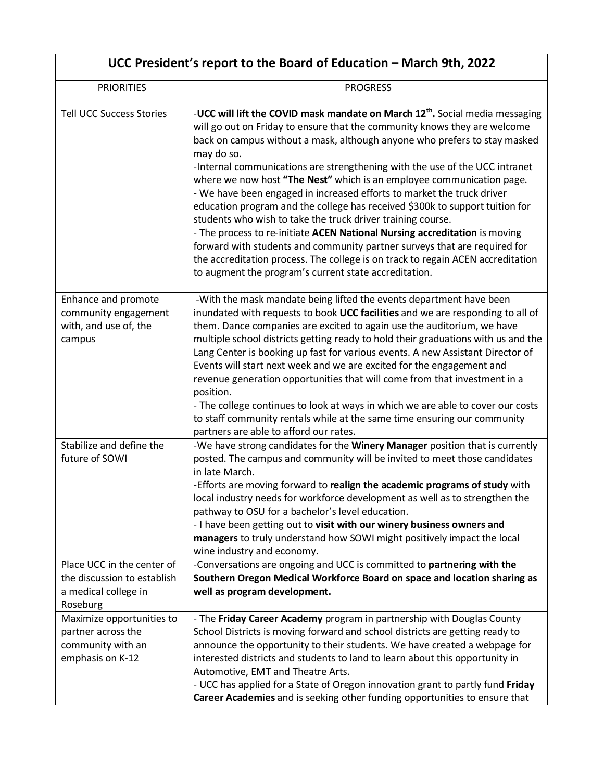| UCC President's report to the Board of Education – March 9th, 2022                                                                                                                        |                                                                                                                                                                                                                                                                                                                                                                                                                                                                                                                                                                                                                                                                                                                                                                                                                                                                                                                                                          |  |
|-------------------------------------------------------------------------------------------------------------------------------------------------------------------------------------------|----------------------------------------------------------------------------------------------------------------------------------------------------------------------------------------------------------------------------------------------------------------------------------------------------------------------------------------------------------------------------------------------------------------------------------------------------------------------------------------------------------------------------------------------------------------------------------------------------------------------------------------------------------------------------------------------------------------------------------------------------------------------------------------------------------------------------------------------------------------------------------------------------------------------------------------------------------|--|
| <b>PRIORITIES</b>                                                                                                                                                                         | <b>PROGRESS</b>                                                                                                                                                                                                                                                                                                                                                                                                                                                                                                                                                                                                                                                                                                                                                                                                                                                                                                                                          |  |
| <b>Tell UCC Success Stories</b>                                                                                                                                                           | -UCC will lift the COVID mask mandate on March 12 <sup>th</sup> . Social media messaging<br>will go out on Friday to ensure that the community knows they are welcome<br>back on campus without a mask, although anyone who prefers to stay masked<br>may do so.<br>-Internal communications are strengthening with the use of the UCC intranet<br>where we now host "The Nest" which is an employee communication page.<br>- We have been engaged in increased efforts to market the truck driver<br>education program and the college has received \$300k to support tuition for<br>students who wish to take the truck driver training course.<br>- The process to re-initiate ACEN National Nursing accreditation is moving<br>forward with students and community partner surveys that are required for<br>the accreditation process. The college is on track to regain ACEN accreditation<br>to augment the program's current state accreditation. |  |
| Enhance and promote<br>community engagement<br>with, and use of, the<br>campus                                                                                                            | -With the mask mandate being lifted the events department have been<br>inundated with requests to book UCC facilities and we are responding to all of<br>them. Dance companies are excited to again use the auditorium, we have<br>multiple school districts getting ready to hold their graduations with us and the<br>Lang Center is booking up fast for various events. A new Assistant Director of<br>Events will start next week and we are excited for the engagement and<br>revenue generation opportunities that will come from that investment in a<br>position.<br>- The college continues to look at ways in which we are able to cover our costs<br>to staff community rentals while at the same time ensuring our community<br>partners are able to afford our rates.                                                                                                                                                                       |  |
| Stabilize and define the<br>future of SOWI                                                                                                                                                | -We have strong candidates for the Winery Manager position that is currently<br>posted. The campus and community will be invited to meet those candidates<br>in late March.<br>-Efforts are moving forward to realign the academic programs of study with<br>local industry needs for workforce development as well as to strengthen the<br>pathway to OSU for a bachelor's level education.<br>- I have been getting out to visit with our winery business owners and<br>managers to truly understand how SOWI might positively impact the local<br>wine industry and economy.                                                                                                                                                                                                                                                                                                                                                                          |  |
| Place UCC in the center of<br>the discussion to establish<br>a medical college in<br>Roseburg<br>Maximize opportunities to<br>partner across the<br>community with an<br>emphasis on K-12 | -Conversations are ongoing and UCC is committed to partnering with the<br>Southern Oregon Medical Workforce Board on space and location sharing as<br>well as program development.<br>- The Friday Career Academy program in partnership with Douglas County<br>School Districts is moving forward and school districts are getting ready to<br>announce the opportunity to their students. We have created a webpage for<br>interested districts and students to land to learn about this opportunity in<br>Automotive, EMT and Theatre Arts.<br>- UCC has applied for a State of Oregon innovation grant to partly fund Friday<br>Career Academies and is seeking other funding opportunities to ensure that                                                                                                                                                                                                                                           |  |